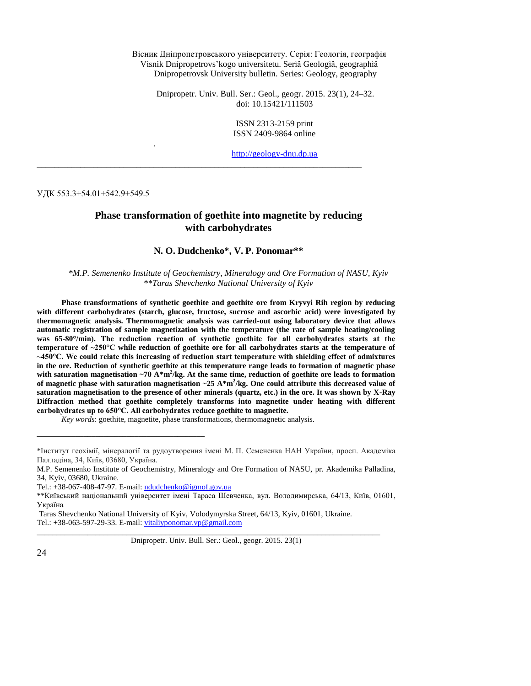Вісник Дніпропетровського університету. Серія: Геологія, географія Vìsnik Dnìpropetrovs'kogo unìversitetu. Serìâ Geologìâ, geographìâ Dnipropetrovsk University bulletin. Series: Geology, geography

Dnipropetr. Univ. Bull. Ser.: Geol., geogr. 2015. 23(1), 24–32. doi: 10.15421/111503

> ISSN 2313-2159 print ISSN 2409-9864 online

[http://geology-dnu.dp.ua](http://geology-dnu.dp.ua/)

УДК 553.3+54.01+542.9+549.5

.

# **Phase transformation of goethite into magnetite by reducing with carbohydrates**

\_\_\_\_\_\_\_\_\_\_\_\_\_\_\_\_\_\_\_\_\_\_\_\_\_\_\_\_\_\_\_\_\_\_\_\_\_\_\_\_\_\_\_\_\_\_\_\_\_\_\_\_\_\_\_\_\_\_\_\_\_\_\_\_\_\_\_\_\_\_\_\_\_\_\_

### **N. O. Dudchenko\*, V. P. Ponomar\*\***

*\*M.P. Semenenko Institute of Geochemistry, Mineralogy and Ore Formation of NASU, Kyiv \*\*Taras Shevchenko National University of Kyiv*

**Phase transformations of synthetic goethite and goethite ore from Kryvyi Rih region by reducing with different carbohydrates (starch, glucose, fructose, sucrose and ascorbic acid) were investigated by thermomagnetic analysis. Thermomagnetic analysis was carried-out using laboratory device that allows automatic registration of sample magnetization with the temperature (the rate of sample heating/cooling was 65-80°/min). The reduction reaction of synthetic goethite for all carbohydrates starts at the temperature of ~250°C while reduction of goethite ore for all carbohydrates starts at the temperature of ~450°C. We could relate this increasing of reduction start temperature with shielding effect of admixtures in the ore. Reduction of synthetic goethite at this temperature range leads to formation of magnetic phase**  with saturation magnetisation ~70 A\*m<sup>2</sup>/kg. At the same time, reduction of goethite ore leads to formation **of magnetic phase with saturation magnetisation ~25 A\*m<sup>2</sup> /kg. One could attribute this decreased value of saturation magnetisation to the presence of other minerals (quartz, etc.) in the ore. It was shown by X-Ray Diffraction method that goethite completely transforms into magnetite under heating with different carbohydrates up to 650°C. All carbohydrates reduce goethite to magnetite.** 

*Key words*: goethite, magnetite, phase transformations, thermomagnetic analysis.

**\_\_\_\_\_\_\_\_\_\_\_\_\_\_\_\_\_\_\_\_\_\_\_\_\_\_\_\_\_\_\_\_\_\_\_\_\_\_\_\_\_\_\_**

Dnipropetr. Univ. Bull. Ser.: Geol., geogr. 2015. 23(1)

\_\_\_\_\_\_\_\_\_\_\_\_\_\_\_\_\_\_\_\_\_\_\_\_\_\_\_\_\_\_\_\_\_\_\_\_\_\_\_\_\_\_\_\_\_\_\_\_\_\_\_\_\_\_\_\_\_\_\_\_\_\_\_\_\_\_\_\_\_\_\_\_\_\_\_\_\_\_\_\_\_\_\_\_\_\_\_\_

<sup>\*</sup>Інститут геохімії, мінералогії та рудоутворення імені М. П. Семененка НАН України, просп. Академіка Палладіна, 34, Київ, 03680, Україна.

M.P. Semenenko Institute of Geochemistry, Mineralogy and Ore Formation of NASU, pr. Akademika Palladina, 34, Kyiv, 03680, Ukraine.

Tel.: +38-067-408-47-97. E-mail[: ndudchenko@igmof.gov.ua](mailto:ndudchenko@igmof.gov.ua)

<sup>\*\*</sup>Київський національний університет імені Тараса Шевченка, вул. Володимирська, 64/13, Київ, 01601, Україна

Taras Shevchenko National University of Kyiv, Volodymyrska Street, 64/13, Kyiv, 01601, Ukraine. Tel.: +38-063-597-29-33. E-mail[: vitaliyponomar.vp@gmail.com](mailto:vitaliyponomar.vp@gmail.com)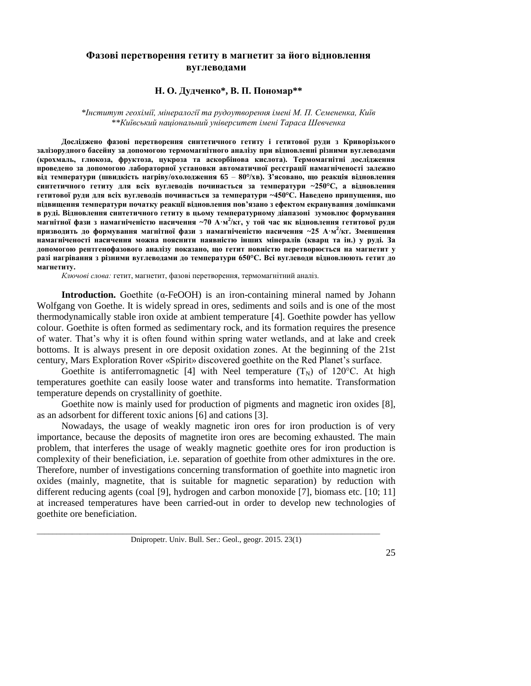# **Фазові перетворення гетиту в магнетит за його відновлення вуглеводами**

## **Н. О. Дудченко\*, В. П. Пономар\*\***

### *\*Інститут геохімії, мінералогії та рудоутворення імені М. П. Семененка, Київ \*\*Київський національний університет імені Тараса Шевченка*

**Досліджено фазові перетворення синтетичного гетиту і гетитової руди з Криворізького залізорудного басейну за допомогою термомагнітного аналізу при відновленні різними вуглеводами (крохмаль, глюкоза, фруктоза, цукроза та аскорбінова кислота). Термомагнітні дослідження проведено за допомогою лабораторної установки автоматичної реєстрації намагніченості залежно від температури (швидкість нагріву/охолодження 65** – **80°/хв). З'ясовано, що реакція відновлення синтетичного гетиту для всіх вуглеводів починається за температури ~250°С, а відновлення гетитової руди для всіх вуглеводів починається за температури ~450°С. Наведено припущення, що підвищення температури початку реакції відновлення пов'язано з ефектом екранування домішками в руді. Відновлення синтетичного гетиту в цьому температурному діапазоні зумовлює формування магнітної фази з намагніченістю насичення ~70 А·м 2 /кг, у той час як відновлення гетитової руди призводить до формування магнітної фази з намагніченістю насичення ~25 А·м 2 /кг. Зменшення намагніченості насичення можна пояснити наявністю інших мінералів (кварц та ін.) у руді. За допомогою рентгенoфазового аналізу показано, що гетит повністю перетворюється на магнетит у разі нагрівання з різними вуглеводами до температури 650°С. Всі вуглеводи відновлюють гетит до магнетиту.** 

*Ключові слова:* гетит, магнетит, фазові перетворення, термомагнітний аналіз.

**Introduction.** Goethite ( $\alpha$ -FeOOH) is an iron-containing mineral named by Johann Wolfgang von Goethe. It is widely spread in ores, sediments and soils and is one of the most thermodynamically stable iron oxide at ambient temperature [4]. Goethite powder has yellow colour. Goethite is often formed as sedimentary rock, and its formation requires the presence of water. That's why it is often found within spring water wetlands, and at lake and creek bottoms. It is always present in ore deposit oxidation zones. At the beginning of the 21st century, Mars Exploration Rover «Spirit» discovered goethite on the Red Planet's surface.

Goethite is antiferromagnetic [4] with Neel temperature  $(T_N)$  of 120°C. At high temperatures goethite can easily loose water and transforms into hematite. Transformation temperature depends on crystallinity of goethite.

Goethite now is mainly used for production of pigments and magnetic iron oxides [8], as an adsorbent for different toxic anions [6] and cations [3].

Nowadays, the usage of weakly magnetic iron ores for iron production is of very importance, because the deposits of magnetite iron ores are becoming exhausted. The main problem, that interferes the usage of weakly magnetic goethite ores for iron production is complexity of their beneficiation, i.e. separation of goethite from other admixtures in the ore. Therefore, number of investigations concerning transformation of goethite into magnetic iron oxides (mainly, magnetite, that is suitable for magnetic separation) by reduction with different reducing agents (coal [9], hydrogen and carbon monoxide [7], biomass etc. [10; 11] at increased temperatures have been carried-out in order to develop new technologies of goethite ore beneficiation.

Dnipropetr. Univ. Bull. Ser.: Geol., geogr. 2015. 23(1)

\_\_\_\_\_\_\_\_\_\_\_\_\_\_\_\_\_\_\_\_\_\_\_\_\_\_\_\_\_\_\_\_\_\_\_\_\_\_\_\_\_\_\_\_\_\_\_\_\_\_\_\_\_\_\_\_\_\_\_\_\_\_\_\_\_\_\_\_\_\_\_\_\_\_\_\_\_\_\_\_\_\_\_\_\_\_\_\_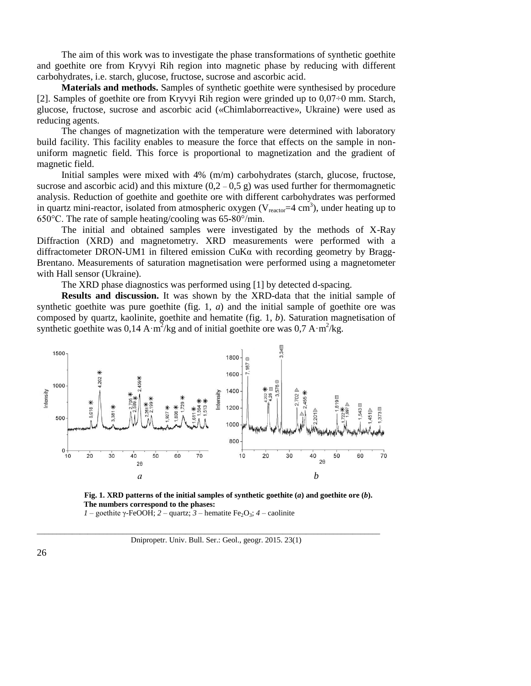The aim of this work was to investigate the phase transformations of synthetic goethite and goethite ore from Kryvyi Rih region into magnetic phase by reducing with different carbohydrates, i.e. starch, glucose, fructose, sucrose and ascorbic acid.

**Materials and methods.** Samples of synthetic goethite were synthesised by procedure [2]. Samples of goethite ore from Kryvyi Rih region were grinded up to  $0.07\div0$  mm. Starch, glucose, fructose, sucrose and ascorbic acid («Chimlaborreactive», Ukraine) were used as reducing agents.

The changes of magnetization with the temperature were determined with laboratory build facility. This facility enables to measure the force that effects on the sample in nonuniform magnetic field. This force is proportional to magnetization and the gradient of magnetic field.

Initial samples were mixed with 4% (m/m) carbohydrates (starch, glucose, fructose, sucrose and ascorbic acid) and this mixture  $(0,2 - 0.5 \text{ g})$  was used further for thermomagnetic analysis. Reduction of goethite and goethite ore with different carbohydrates was performed in quartz mini-reactor, isolated from atmospheric oxygen ( $V_{\text{reactor}} = 4 \text{ cm}^3$ ), under heating up to 650°C. The rate of sample heating/cooling was 65-80°/min.

The initial and obtained samples were investigated by the methods of X-Ray Diffraction (XRD) and magnetometry. XRD measurements were performed with a diffractometer DRON-UM1 in filtered emission  $CuKa$  with recording geometry by Bragg-Brentano. Measurements of saturation magnetisation were performed using a magnetometer with Hall sensor (Ukraine).

The XRD phase diagnostics was performed using [1] by detected d-spacing.

**Results and discussion.** It was shown by the XRD-data that the initial sample of synthetic goethite was pure goethite (fig. 1, *a*) and the initial sample of goethite ore was composed by quartz, kaolinite, goethite and hematite (fig. 1, *b*). Saturation magnetisation of synthetic goethite was  $0.14 \text{ A} \cdot \text{m}^2/\text{kg}$  and of initial goethite ore was  $0.7 \text{ A} \cdot \text{m}^2/\text{kg}$ .





*1* – goethite γ-FeOOH; *2* – quartz; *3* – hematite Fe<sub>2</sub>O<sub>3</sub>; *4* – caolinite

\_\_\_\_\_\_\_\_\_\_\_\_\_\_\_\_\_\_\_\_\_\_\_\_\_\_\_\_\_\_\_\_\_\_\_\_\_\_\_\_\_\_\_\_\_\_\_\_\_\_\_\_\_\_\_\_\_\_\_\_\_\_\_\_\_\_\_\_\_\_\_\_\_\_\_\_\_\_\_\_\_\_\_\_\_\_\_\_ Dnipropetr. Univ. Bull. Ser.: Geol., geogr. 2015. 23(1)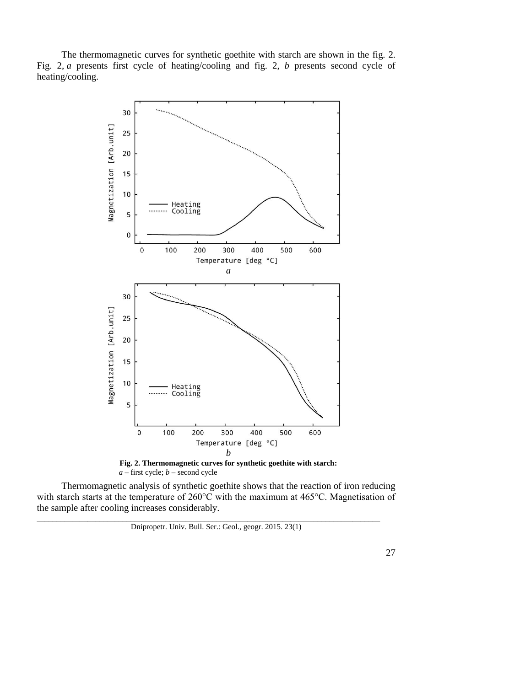The thermomagnetic curves for synthetic goethite with starch are shown in the fig. 2. Fig. 2, *a* presents first cycle of heating/cooling and fig. 2, *b* presents second cycle of heating/cooling.





Thermomagnetic analysis of synthetic goethite shows that the reaction of iron reducing with starch starts at the temperature of 260°C with the maximum at 465°C. Magnetisation of the sample after cooling increases considerably.

\_\_\_\_\_\_\_\_\_\_\_\_\_\_\_\_\_\_\_\_\_\_\_\_\_\_\_\_\_\_\_\_\_\_\_\_\_\_\_\_\_\_\_\_\_\_\_\_\_\_\_\_\_\_\_\_\_\_\_\_\_\_\_\_\_\_\_\_\_\_\_\_\_\_\_\_\_\_\_\_\_\_\_\_\_\_\_\_

Dnipropetr. Univ. Bull. Ser.: Geol., geogr. 2015. 23(1)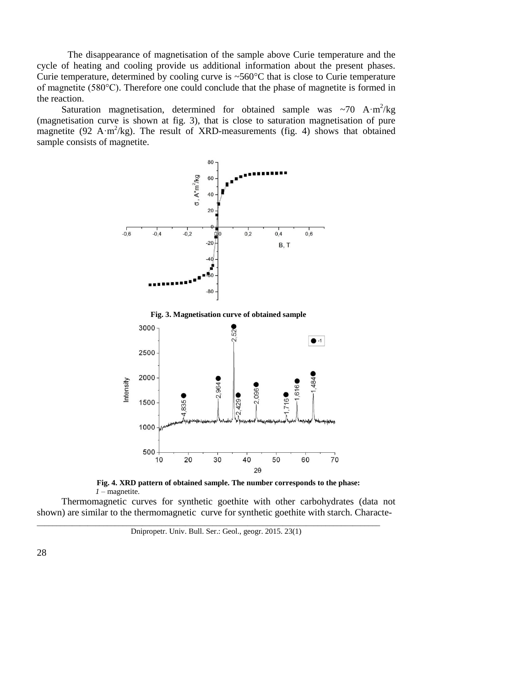The disappearance of magnetisation of the sample above Curie temperature and the cycle of heating and cooling provide us additional information about the present phases. Curie temperature, determined by cooling curve is ~560°C that is close to Curie temperature of magnetite (580°C). Therefore one could conclude that the phase of magnetite is formed in the reaction.

Saturation magnetisation, determined for obtained sample was  $\sim$ 70 A·m<sup>2</sup>/kg (magnetisation curve is shown at fig. 3), that is close to saturation magnetisation of pure magnetite (92 A·m<sup>2</sup>/kg). The result of XRD-measurements (fig. 4) shows that obtained sample consists of magnetite.



**Fig. 3. Magnetisation curve of obtained sample**



**Fig. 4. XRD pattern of obtained sample. The number corresponds to the phase:**  *1* – magnetite.

Thermomagnetic curves for synthetic goethite with other carbohydrates (data not shown) are similar to the thermomagnetic curve for synthetic goethite with starch. Characte-

Dnipropetr. Univ. Bull. Ser.: Geol., geogr. 2015. 23(1)

\_\_\_\_\_\_\_\_\_\_\_\_\_\_\_\_\_\_\_\_\_\_\_\_\_\_\_\_\_\_\_\_\_\_\_\_\_\_\_\_\_\_\_\_\_\_\_\_\_\_\_\_\_\_\_\_\_\_\_\_\_\_\_\_\_\_\_\_\_\_\_\_\_\_\_\_\_\_\_\_\_\_\_\_\_\_\_\_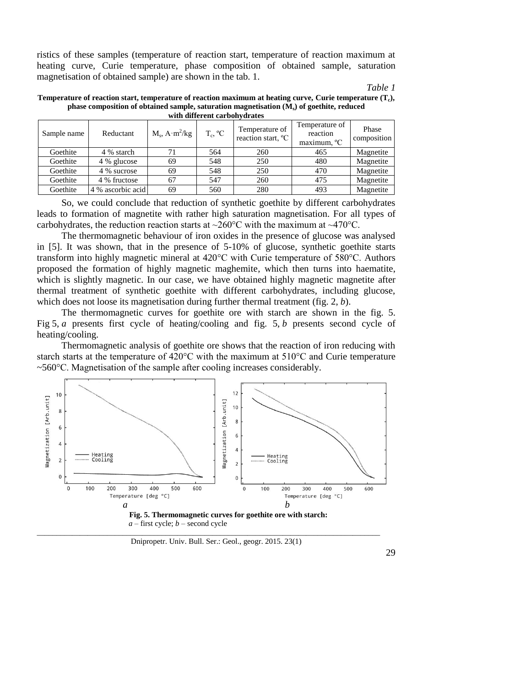ristics of these samples (temperature of reaction start, temperature of reaction maximum at heating curve, Curie temperature, phase composition of obtained sample, saturation magnetisation of obtained sample) are shown in the tab. 1.

*Table 1*

| Temperature of reaction start, temperature of reaction maximum at heating curve, Curie temperature $(T_c)$ , |
|--------------------------------------------------------------------------------------------------------------|
| phase composition of obtained sample, saturation magnetisation $(Ms)$ of goethite, reduced                   |
| with different carhohydrates                                                                                 |

| Sample name | Reductant         | $M_s$ , A·m <sup>2</sup> /kg | $T_c$ , $^{\circ}C$ | Temperature of<br>reaction start, <sup>o</sup> C | Temperature of<br>reaction<br>maximum, <sup>o</sup> C | Phase<br>composition |  |  |  |
|-------------|-------------------|------------------------------|---------------------|--------------------------------------------------|-------------------------------------------------------|----------------------|--|--|--|
| Goethite    | 4 % starch        | 71                           | 564                 | 260                                              | 465                                                   | Magnetite            |  |  |  |
| Goethite    | 4 % glucose       | 69                           | 548                 | 250                                              | 480                                                   | Magnetite            |  |  |  |
| Goethite    | 4 % sucrose       | 69                           | 548                 | 250                                              | 470                                                   | Magnetite            |  |  |  |
| Goethite    | 4 % fructose      | 67                           | 547                 | 260                                              | 475                                                   | Magnetite            |  |  |  |
| Goethite    | 4 % ascorbic acid | 69                           | 560                 | 280                                              | 493                                                   | Magnetite            |  |  |  |

So, we could conclude that reduction of synthetic goethite by different carbohydrates leads to formation of magnetite with rather high saturation magnetisation. For all types of carbohydrates, the reduction reaction starts at  $\sim$ 260°C with the maximum at  $\sim$ 470°C.

The thermomagnetic behaviour of iron oxides in the presence of glucose was analysed in [5]. It was shown, that in the presence of 5-10% of glucose, synthetic goethite starts transform into highly magnetic mineral at 420°C with Curie temperature of 580°C. Authors proposed the formation of highly magnetic maghemite, which then turns into haematite, which is slightly magnetic. In our case, we have obtained highly magnetic magnetite after thermal treatment of synthetic goethite with different carbohydrates, including glucose, which does not loose its magnetisation during further thermal treatment (fig. 2, *b*).

The thermomagnetic curves for goethite ore with starch are shown in the fig. 5. Fig 5, *a* presents first cycle of heating/cooling and fig. 5, *b* presents second cycle of heating/cooling.

Thermomagnetic analysis of goethite ore shows that the reaction of iron reducing with starch starts at the temperature of 420 $^{\circ}$ C with the maximum at 510 $^{\circ}$ C and Curie temperature ~560°C. Magnetisation of the sample after cooling increases considerably.



Dnipropetr. Univ. Bull. Ser.: Geol., geogr. 2015. 23(1)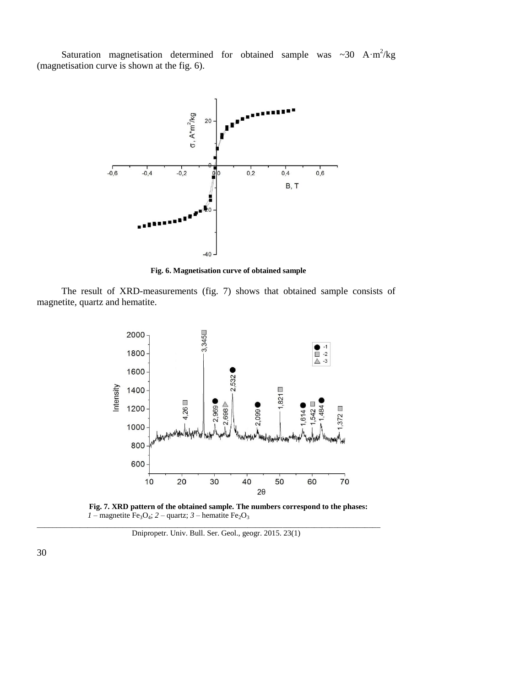Saturation magnetisation determined for obtained sample was  $\sim$ 30 A·m<sup>2</sup>/kg (magnetisation curve is shown at the fig. 6).



**Fig. 6. Magnetisation curve of obtained sample**

The result of XRD-measurements (fig. 7) shows that obtained sample consists of magnetite, quartz and hematite.





\_\_\_\_\_\_\_\_\_\_\_\_\_\_\_\_\_\_\_\_\_\_\_\_\_\_\_\_\_\_\_\_\_\_\_\_\_\_\_\_\_\_\_\_\_\_\_\_\_\_\_\_\_\_\_\_\_\_\_\_\_\_\_\_\_\_\_\_\_\_\_\_\_\_\_\_\_\_\_\_\_\_\_\_\_\_\_\_ Dnipropetr. Univ. Bull. Ser. Geol., geogr. 2015. 23(1)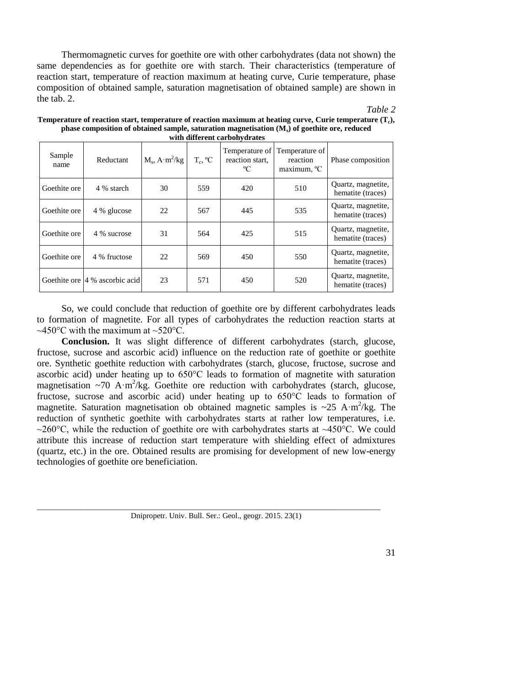Thermomagnetic curves for goethite ore with other carbohydrates (data not shown) the same dependencies as for goethite ore with starch. Their characteristics (temperature of reaction start, temperature of reaction maximum at heating curve, Curie temperature, phase composition of obtained sample, saturation magnetisation of obtained sample) are shown in the tab. 2.

## *Table 2*

| Sample<br>name | Reductant                       | $M_s$ , A·m <sup>2</sup> /kg | $T_c$ , $^{\circ}C$ | reaction start,<br>$\rm ^{o}C$ | Temperature of Temperature of<br>reaction<br>maximum, <sup>o</sup> C | Phase composition                       |
|----------------|---------------------------------|------------------------------|---------------------|--------------------------------|----------------------------------------------------------------------|-----------------------------------------|
| Goethite ore   | 4 % starch                      | 30                           | 559                 | 420                            | 510                                                                  | Quartz, magnetite,<br>hematite (traces) |
| Goethite ore   | 4 % glucose                     | 22                           | 567                 | 445                            | 535                                                                  | Quartz, magnetite,<br>hematite (traces) |
| Goethite ore   | 4 % sucrose                     | 31                           | 564                 | 425                            | 515                                                                  | Quartz, magnetite,<br>hematite (traces) |
| Goethite ore   | 4 % fructose                    | 22                           | 569                 | 450                            | 550                                                                  | Quartz, magnetite,<br>hematite (traces) |
|                | Goethite ore 14 % ascorbic acid | 23                           | 571                 | 450                            | 520                                                                  | Quartz, magnetite,<br>hematite (traces) |

**Temperature of reaction start, temperature of reaction maximum at heating curve, Curie temperature (T<sup>c</sup> ), phase composition of obtained sample, saturation magnetisation (M<sup>s</sup> ) of goethite ore, reduced with different carbohydrates**

So, we could conclude that reduction of goethite ore by different carbohydrates leads to formation of magnetite. For all types of carbohydrates the reduction reaction starts at  $\sim$ 450°C with the maximum at  $\sim$ 520°C.

**Conclusion.** It was slight difference of different carbohydrates (starch, glucose, fructose, sucrose and ascorbic acid) influence on the reduction rate of goethite or goethite ore. Synthetic goethite reduction with carbohydrates (starch, glucose, fructose, sucrose and ascorbic acid) under heating up to 650°C leads to formation of magnetite with saturation magnetisation ~70 A·m<sup>2</sup>/kg. Goethite ore reduction with carbohydrates (starch, glucose, fructose, sucrose and ascorbic acid) under heating up to 650°C leads to formation of magnetite. Saturation magnetisation ob obtained magnetic samples is  $\sim$ 25 A·m<sup>2</sup>/kg. The reduction of synthetic goethite with carbohydrates starts at rather low temperatures, i.e. ~260 $^{\circ}$ C, while the reduction of goethite ore with carbohydrates starts at ~450 $^{\circ}$ C. We could attribute this increase of reduction start temperature with shielding effect of admixtures (quartz, etc.) in the ore. Obtained results are promising for development of new low-energy technologies of goethite ore beneficiation.

\_\_\_\_\_\_\_\_\_\_\_\_\_\_\_\_\_\_\_\_\_\_\_\_\_\_\_\_\_\_\_\_\_\_\_\_\_\_\_\_\_\_\_\_\_\_\_\_\_\_\_\_\_\_\_\_\_\_\_\_\_\_\_\_\_\_\_\_\_\_\_\_\_\_\_\_\_\_\_\_\_\_\_\_\_\_\_\_ Dnipropetr. Univ. Bull. Ser.: Geol., geogr. 2015. 23(1)